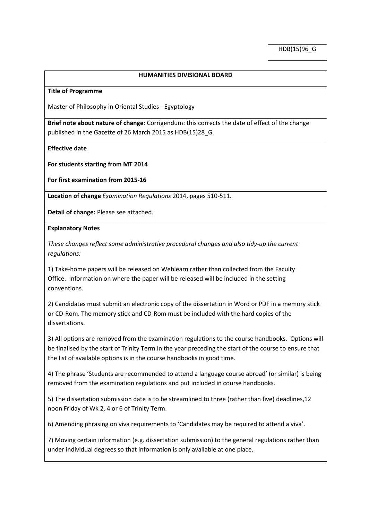### **HUMANITIES DIVISIONAL BOARD**

#### **Title of Programme**

Master of Philosophy in Oriental Studies - Egyptology

**Brief note about nature of change**: Corrigendum: this corrects the date of effect of the change published in the Gazette of 26 March 2015 as HDB(15)28\_G.

**Effective date**

**For students starting from MT 2014**

**For first examination from 2015-16**

**Location of change** *Examination Regulations* 2014, pages 510-511.

**Detail of change:** Please see attached.

### **Explanatory Notes**

*These changes reflect some administrative procedural changes and also tidy-up the current regulations:*

1) Take-home papers will be released on Weblearn rather than collected from the Faculty Office. Information on where the paper will be released will be included in the setting conventions.

2) Candidates must submit an electronic copy of the dissertation in Word or PDF in a memory stick or CD-Rom. The memory stick and CD-Rom must be included with the hard copies of the dissertations.

3) All options are removed from the examination regulations to the course handbooks. Options will be finalised by the start of Trinity Term in the year preceding the start of the course to ensure that the list of available options is in the course handbooks in good time.

4) The phrase 'Students are recommended to attend a language course abroad' (or similar) is being removed from the examination regulations and put included in course handbooks.

5) The dissertation submission date is to be streamlined to three (rather than five) deadlines,12 noon Friday of Wk 2, 4 or 6 of Trinity Term.

6) Amending phrasing on viva requirements to 'Candidates may be required to attend a viva'.

7) Moving certain information (e.g. dissertation submission) to the general regulations rather than under individual degrees so that information is only available at one place.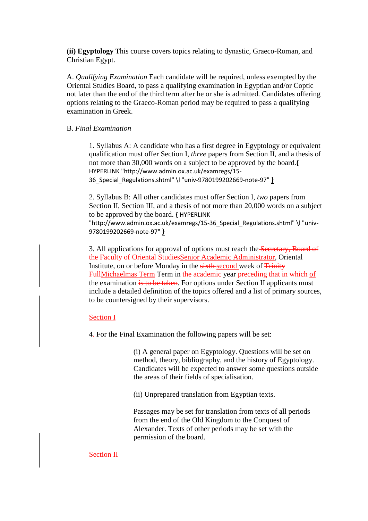**(ii) Egyptology** This course covers topics relating to dynastic, Graeco-Roman, and Christian Egypt.

A. *Qualifying Examination* Each candidate will be required, unless exempted by the Oriental Studies Board, to pass a qualifying examination in Egyptian and/or Coptic not later than the end of the third term after he or she is admitted. Candidates offering options relating to the Graeco-Roman period may be required to pass a qualifying examination in Greek.

# B. *Final Examination*

1. Syllabus A: A candidate who has a first degree in Egyptology or equivalent qualification must offer Section I, *three* papers from Section II, and a thesis of not more than 30,000 words on a subject to be approved by the board.**[{](http://www.admin.ox.ac.uk/examregs/15-36_Special_Regulations.shtml%23univ-9780199202669-note-97)** [HYPERLINK "http://www.admin.ox.ac.uk/examregs/15-](http://www.admin.ox.ac.uk/examregs/15-36_Special_Regulations.shtml%23univ-9780199202669-note-97) [36\\_Special\\_Regulations.shtml" \l "univ-9780199202669-note-97"](http://www.admin.ox.ac.uk/examregs/15-36_Special_Regulations.shtml%23univ-9780199202669-note-97) **}**

2. Syllabus B: All other candidates must offer Section I, *two* papers from Section II, Section III, and a thesis of not more than 20,000 words on a subject to be approved by the board. **{** [HYPERLINK](http://www.admin.ox.ac.uk/examregs/15-36_Special_Regulations.shtml%23univ-9780199202669-note-97)  ["http://www.admin.ox.ac.uk/examregs/15-36\\_Special\\_Regulations.shtml" \l "univ-](http://www.admin.ox.ac.uk/examregs/15-36_Special_Regulations.shtml%23univ-9780199202669-note-97)[9780199202669-note-97"](http://www.admin.ox.ac.uk/examregs/15-36_Special_Regulations.shtml%23univ-9780199202669-note-97) **}**

3. All applications for approval of options must reach the Secretary, Board of the Faculty of Oriental StudiesSenior Academic Administrator, Oriental Institute, on or before Monday in the sixth-second week of Trinity FullMichaelmas Term Term in the academic year preceding that in which of the examination is to be taken. For options under Section II applicants must include a detailed definition of the topics offered and a list of primary sources, to be countersigned by their supervisors.

## Section I

4. For the Final Examination the following papers will be set:

(i) A general paper on Egyptology. Questions will be set on method, theory, bibliography, and the history of Egyptology. Candidates will be expected to answer some questions outside the areas of their fields of specialisation.

(ii) Unprepared translation from Egyptian texts.

Passages may be set for translation from texts of all periods from the end of the Old Kingdom to the Conquest of Alexander. Texts of other periods may be set with the permission of the board.

## Section II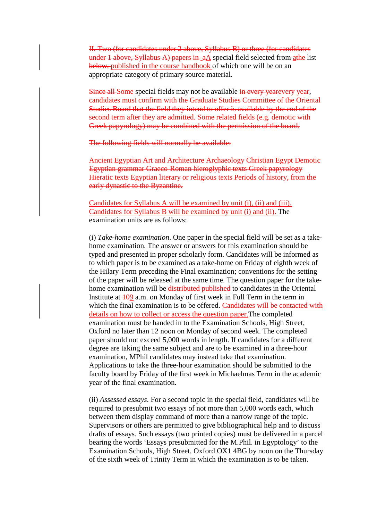II. Two (for candidates under 2 above, Syllabus B) or three (for candidates under 1 above, Syllabus A) papers in  $aA$  special field selected from  $a$ the list below, published in the course handbook of which one will be on an appropriate category of primary source material.

Since all Some special fields may not be available in every year vear, candidates must confirm with the Graduate Studies Committee of the Oriental Studies Board that the field they intend to offer is available by the end of the second term after they are admitted. Some related fields (e.g. demotic with Greek papyrology) may be combined with the permission of the board.

The following fields will normally be available:

Ancient Egyptian Art and Architecture Archaeology Christian Egypt Demotic Egyptian grammar Graeco-Roman hieroglyphic texts Greek papyrology Hieratic texts Egyptian literary or religious texts Periods of history, from the early dynastic to the Byzantine.

Candidates for Syllabus A will be examined by unit (i), (ii) and (iii). Candidates for Syllabus B will be examined by unit (i) and (ii). The examination units are as follows:

(i) *Take-home examination*. One paper in the special field will be set as a takehome examination. The answer or answers for this examination should be typed and presented in proper scholarly form. Candidates will be informed as to which paper is to be examined as a take-home on Friday of eighth week of the Hilary Term preceding the Final examination; conventions for the setting of the paper will be released at the same time. The question paper for the takehome examination will be distributed published to candidates in the Oriental Institute at  $\frac{109}{2}$  a.m. on Monday of first week in Full Term in the term in which the final examination is to be offered. Candidates will be contacted with details on how to collect or access the question paper.The completed examination must be handed in to the Examination Schools, High Street, Oxford no later than 12 noon on Monday of second week. The completed paper should not exceed 5,000 words in length. If candidates for a different degree are taking the same subject and are to be examined in a three-hour examination, MPhil candidates may instead take that examination. Applications to take the three-hour examination should be submitted to the faculty board by Friday of the first week in Michaelmas Term in the academic year of the final examination.

(ii) *Assessed essays*. For a second topic in the special field, candidates will be required to presubmit two essays of not more than 5,000 words each, which between them display command of more than a narrow range of the topic. Supervisors or others are permitted to give bibliographical help and to discuss drafts of essays. Such essays (two printed copies) must be delivered in a parcel bearing the words 'Essays presubmitted for the M.Phil. in Egyptology' to the Examination Schools, High Street, Oxford OX1 4BG by noon on the Thursday of the sixth week of Trinity Term in which the examination is to be taken.